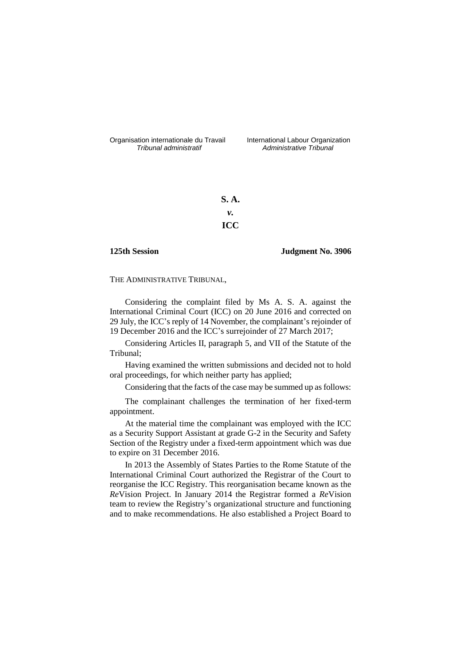Organisation internationale du Travail International Labour Organization<br>*Tribunal administratif Administrative Tribunal* 

*Tribunal administratif Administrative Tribunal*

**S. A.** *v.* **ICC**

## **125th Session Judgment No. 3906**

THE ADMINISTRATIVE TRIBUNAL,

Considering the complaint filed by Ms A. S. A. against the International Criminal Court (ICC) on 20 June 2016 and corrected on 29 July, the ICC's reply of 14 November, the complainant's rejoinder of 19 December 2016 and the ICC's surrejoinder of 27 March 2017;

Considering Articles II, paragraph 5, and VII of the Statute of the Tribunal;

Having examined the written submissions and decided not to hold oral proceedings, for which neither party has applied;

Considering that the facts of the case may be summed up as follows:

The complainant challenges the termination of her fixed-term appointment.

At the material time the complainant was employed with the ICC as a Security Support Assistant at grade G-2 in the Security and Safety Section of the Registry under a fixed-term appointment which was due to expire on 31 December 2016.

In 2013 the Assembly of States Parties to the Rome Statute of the International Criminal Court authorized the Registrar of the Court to reorganise the ICC Registry. This reorganisation became known as the *Re*Vision Project. In January 2014 the Registrar formed a *Re*Vision team to review the Registry's organizational structure and functioning and to make recommendations. He also established a Project Board to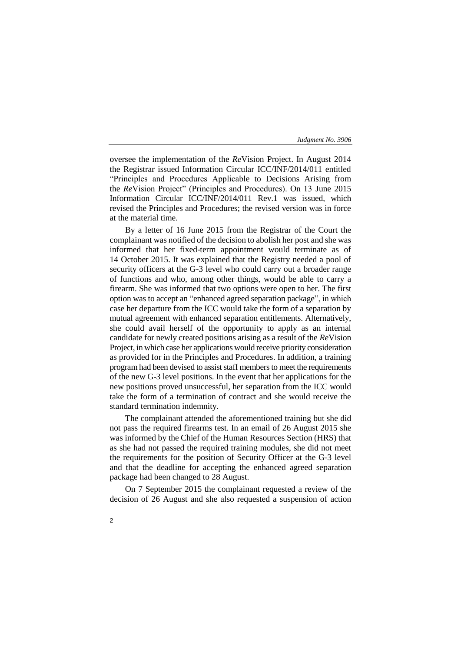oversee the implementation of the *Re*Vision Project. In August 2014 the Registrar issued Information Circular ICC/INF/2014/011 entitled "Principles and Procedures Applicable to Decisions Arising from the *Re*Vision Project" (Principles and Procedures). On 13 June 2015 Information Circular ICC/INF/2014/011 Rev.1 was issued, which revised the Principles and Procedures; the revised version was in force at the material time.

By a letter of 16 June 2015 from the Registrar of the Court the complainant was notified of the decision to abolish her post and she was informed that her fixed-term appointment would terminate as of 14 October 2015. It was explained that the Registry needed a pool of security officers at the G-3 level who could carry out a broader range of functions and who, among other things, would be able to carry a firearm. She was informed that two options were open to her. The first option was to accept an "enhanced agreed separation package", in which case her departure from the ICC would take the form of a separation by mutual agreement with enhanced separation entitlements. Alternatively, she could avail herself of the opportunity to apply as an internal candidate for newly created positions arising as a result of the *Re*Vision Project, in which case her applications would receive priority consideration as provided for in the Principles and Procedures. In addition, a training program had been devised to assist staff members to meet the requirements of the new G-3 level positions. In the event that her applications for the new positions proved unsuccessful, her separation from the ICC would take the form of a termination of contract and she would receive the standard termination indemnity.

The complainant attended the aforementioned training but she did not pass the required firearms test. In an email of 26 August 2015 she was informed by the Chief of the Human Resources Section (HRS) that as she had not passed the required training modules, she did not meet the requirements for the position of Security Officer at the G-3 level and that the deadline for accepting the enhanced agreed separation package had been changed to 28 August.

On 7 September 2015 the complainant requested a review of the decision of 26 August and she also requested a suspension of action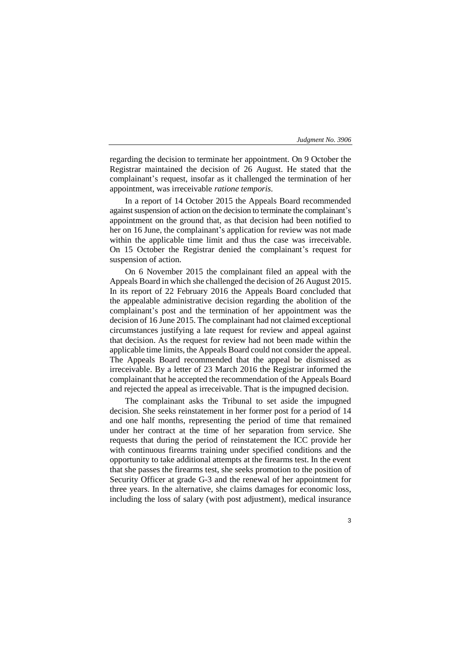regarding the decision to terminate her appointment. On 9 October the Registrar maintained the decision of 26 August. He stated that the complainant's request, insofar as it challenged the termination of her appointment, was irreceivable *ratione temporis*.

In a report of 14 October 2015 the Appeals Board recommended against suspension of action on the decision to terminate the complainant's appointment on the ground that, as that decision had been notified to her on 16 June, the complainant's application for review was not made within the applicable time limit and thus the case was irreceivable. On 15 October the Registrar denied the complainant's request for suspension of action.

On 6 November 2015 the complainant filed an appeal with the Appeals Board in which she challenged the decision of 26 August 2015. In its report of 22 February 2016 the Appeals Board concluded that the appealable administrative decision regarding the abolition of the complainant's post and the termination of her appointment was the decision of 16 June 2015. The complainant had not claimed exceptional circumstances justifying a late request for review and appeal against that decision. As the request for review had not been made within the applicable time limits, the Appeals Board could not consider the appeal. The Appeals Board recommended that the appeal be dismissed as irreceivable. By a letter of 23 March 2016 the Registrar informed the complainant that he accepted the recommendation of the Appeals Board and rejected the appeal as irreceivable. That is the impugned decision.

The complainant asks the Tribunal to set aside the impugned decision. She seeks reinstatement in her former post for a period of 14 and one half months, representing the period of time that remained under her contract at the time of her separation from service. She requests that during the period of reinstatement the ICC provide her with continuous firearms training under specified conditions and the opportunity to take additional attempts at the firearms test. In the event that she passes the firearms test, she seeks promotion to the position of Security Officer at grade G-3 and the renewal of her appointment for three years. In the alternative, she claims damages for economic loss, including the loss of salary (with post adjustment), medical insurance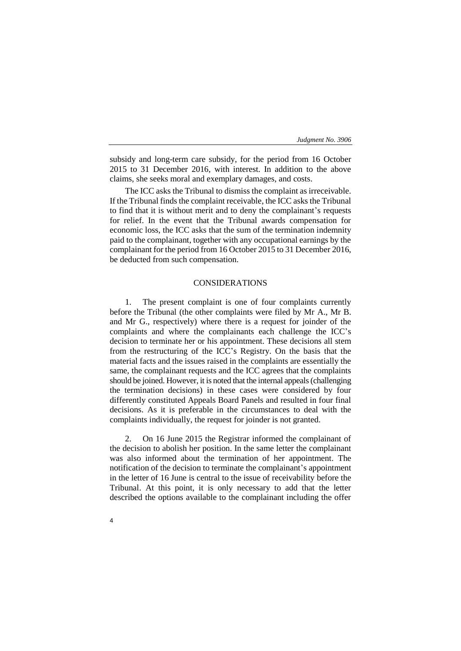subsidy and long-term care subsidy, for the period from 16 October 2015 to 31 December 2016, with interest. In addition to the above claims, she seeks moral and exemplary damages, and costs.

The ICC asks the Tribunal to dismiss the complaint as irreceivable. If the Tribunal finds the complaint receivable, the ICC asks the Tribunal to find that it is without merit and to deny the complainant's requests for relief. In the event that the Tribunal awards compensation for economic loss, the ICC asks that the sum of the termination indemnity paid to the complainant, together with any occupational earnings by the complainant for the period from 16 October 2015 to 31 December 2016, be deducted from such compensation.

# CONSIDERATIONS

1. The present complaint is one of four complaints currently before the Tribunal (the other complaints were filed by Mr A., Mr B. and Mr G., respectively) where there is a request for joinder of the complaints and where the complainants each challenge the ICC's decision to terminate her or his appointment. These decisions all stem from the restructuring of the ICC's Registry. On the basis that the material facts and the issues raised in the complaints are essentially the same, the complainant requests and the ICC agrees that the complaints should be joined. However, it is noted that the internal appeals(challenging the termination decisions) in these cases were considered by four differently constituted Appeals Board Panels and resulted in four final decisions. As it is preferable in the circumstances to deal with the complaints individually, the request for joinder is not granted.

2. On 16 June 2015 the Registrar informed the complainant of the decision to abolish her position. In the same letter the complainant was also informed about the termination of her appointment. The notification of the decision to terminate the complainant's appointment in the letter of 16 June is central to the issue of receivability before the Tribunal. At this point, it is only necessary to add that the letter described the options available to the complainant including the offer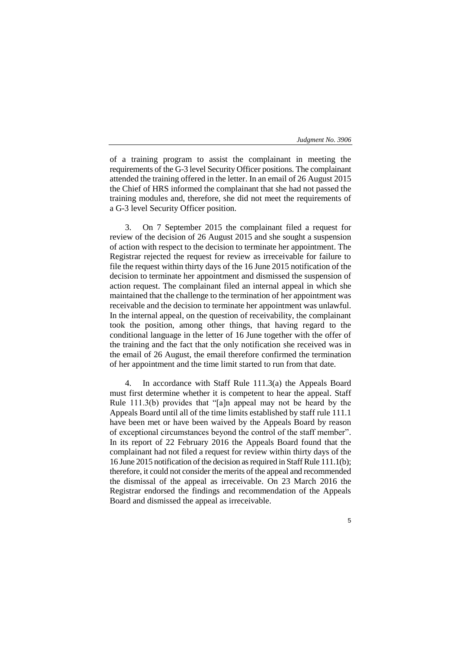of a training program to assist the complainant in meeting the requirements of the G-3 level Security Officer positions. The complainant attended the training offered in the letter. In an email of 26 August 2015 the Chief of HRS informed the complainant that she had not passed the training modules and, therefore, she did not meet the requirements of a G-3 level Security Officer position.

3. On 7 September 2015 the complainant filed a request for review of the decision of 26 August 2015 and she sought a suspension of action with respect to the decision to terminate her appointment. The Registrar rejected the request for review as irreceivable for failure to file the request within thirty days of the 16 June 2015 notification of the decision to terminate her appointment and dismissed the suspension of action request. The complainant filed an internal appeal in which she maintained that the challenge to the termination of her appointment was receivable and the decision to terminate her appointment was unlawful. In the internal appeal, on the question of receivability, the complainant took the position, among other things, that having regard to the conditional language in the letter of 16 June together with the offer of the training and the fact that the only notification she received was in the email of 26 August, the email therefore confirmed the termination of her appointment and the time limit started to run from that date.

4. In accordance with Staff Rule 111.3(a) the Appeals Board must first determine whether it is competent to hear the appeal. Staff Rule 111.3(b) provides that "[a]n appeal may not be heard by the Appeals Board until all of the time limits established by staff rule 111.1 have been met or have been waived by the Appeals Board by reason of exceptional circumstances beyond the control of the staff member". In its report of 22 February 2016 the Appeals Board found that the complainant had not filed a request for review within thirty days of the 16 June 2015 notification of the decision as required in Staff Rule 111.1(b); therefore, it could not consider the merits of the appeal and recommended the dismissal of the appeal as irreceivable. On 23 March 2016 the Registrar endorsed the findings and recommendation of the Appeals Board and dismissed the appeal as irreceivable.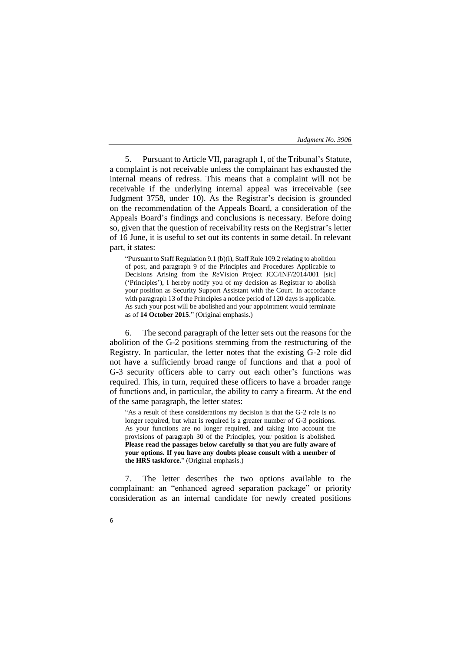5. Pursuant to Article VII, paragraph 1, of the Tribunal's Statute, a complaint is not receivable unless the complainant has exhausted the internal means of redress. This means that a complaint will not be receivable if the underlying internal appeal was irreceivable (see Judgment 3758, under 10). As the Registrar's decision is grounded on the recommendation of the Appeals Board, a consideration of the Appeals Board's findings and conclusions is necessary. Before doing so, given that the question of receivability rests on the Registrar's letter of 16 June, it is useful to set out its contents in some detail. In relevant part, it states:

"Pursuant to Staff Regulation 9.1 (b)(i), Staff Rule 109.2 relating to abolition of post, and paragraph 9 of the Principles and Procedures Applicable to Decisions Arising from the *Re*Vision Project ICC/INF/2014/001 [sic] ('Principles'), I hereby notify you of my decision as Registrar to abolish your position as Security Support Assistant with the Court. In accordance with paragraph 13 of the Principles a notice period of 120 days is applicable. As such your post will be abolished and your appointment would terminate as of **14 October 2015**." (Original emphasis.)

6. The second paragraph of the letter sets out the reasons for the abolition of the G-2 positions stemming from the restructuring of the Registry. In particular, the letter notes that the existing G-2 role did not have a sufficiently broad range of functions and that a pool of G-3 security officers able to carry out each other's functions was required. This, in turn, required these officers to have a broader range of functions and, in particular, the ability to carry a firearm. At the end of the same paragraph, the letter states:

"As a result of these considerations my decision is that the G-2 role is no longer required, but what is required is a greater number of G-3 positions. As your functions are no longer required, and taking into account the provisions of paragraph 30 of the Principles, your position is abolished. **Please read the passages below carefully so that you are fully aware of your options. If you have any doubts please consult with a member of the HRS taskforce.**" (Original emphasis.)

7. The letter describes the two options available to the complainant: an "enhanced agreed separation package" or priority consideration as an internal candidate for newly created positions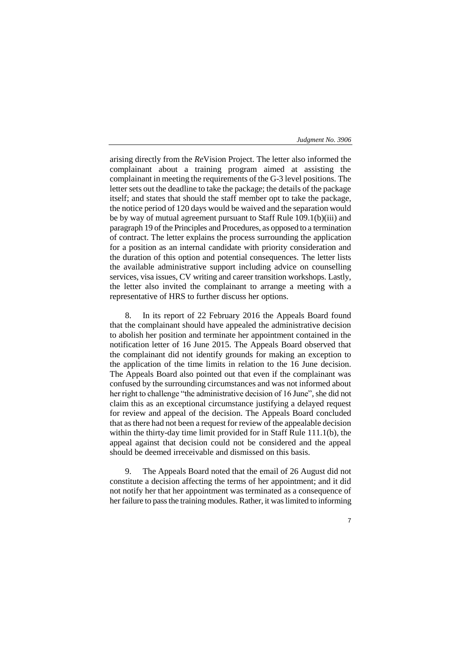arising directly from the *Re*Vision Project. The letter also informed the complainant about a training program aimed at assisting the complainant in meeting the requirements of the G-3 level positions. The letter sets out the deadline to take the package; the details of the package itself; and states that should the staff member opt to take the package, the notice period of 120 days would be waived and the separation would be by way of mutual agreement pursuant to Staff Rule 109.1(b)(iii) and paragraph 19 of the Principles and Procedures, as opposed to a termination of contract. The letter explains the process surrounding the application for a position as an internal candidate with priority consideration and the duration of this option and potential consequences. The letter lists the available administrative support including advice on counselling services, visa issues, CV writing and career transition workshops. Lastly, the letter also invited the complainant to arrange a meeting with a representative of HRS to further discuss her options.

8. In its report of 22 February 2016 the Appeals Board found that the complainant should have appealed the administrative decision to abolish her position and terminate her appointment contained in the notification letter of 16 June 2015. The Appeals Board observed that the complainant did not identify grounds for making an exception to the application of the time limits in relation to the 16 June decision. The Appeals Board also pointed out that even if the complainant was confused by the surrounding circumstances and was not informed about her right to challenge "the administrative decision of 16 June", she did not claim this as an exceptional circumstance justifying a delayed request for review and appeal of the decision. The Appeals Board concluded that as there had not been a request for review of the appealable decision within the thirty-day time limit provided for in Staff Rule 111.1(b), the appeal against that decision could not be considered and the appeal should be deemed irreceivable and dismissed on this basis.

9. The Appeals Board noted that the email of 26 August did not constitute a decision affecting the terms of her appointment; and it did not notify her that her appointment was terminated as a consequence of her failure to pass the training modules. Rather, it was limited to informing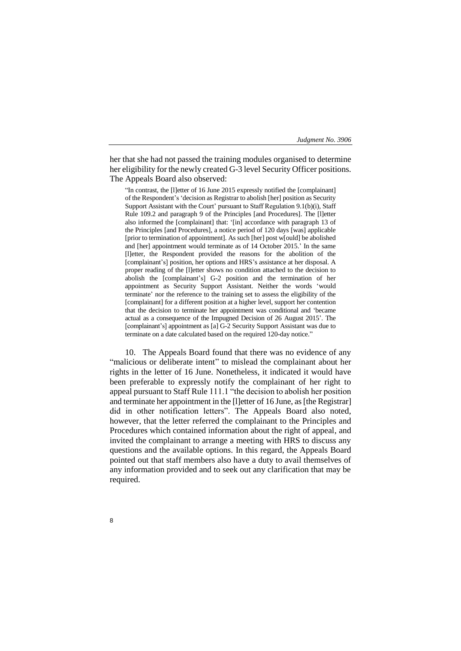her that she had not passed the training modules organised to determine her eligibility for the newly created G-3 level Security Officer positions. The Appeals Board also observed:

"In contrast, the [l]etter of 16 June 2015 expressly notified the [complainant] of the Respondent's 'decision as Registrar to abolish [her] position as Security Support Assistant with the Court' pursuant to Staff Regulation 9.1(b)(i), Staff Rule 109.2 and paragraph 9 of the Principles [and Procedures]. The [l]etter also informed the [complainant] that: '[in] accordance with paragraph 13 of the Principles [and Procedures], a notice period of 120 days [was] applicable [prior to termination of appointment]. As such [her] post w[ould] be abolished and [her] appointment would terminate as of 14 October 2015.' In the same [l]etter, the Respondent provided the reasons for the abolition of the [complainant's] position, her options and HRS's assistance at her disposal. A proper reading of the [l]etter shows no condition attached to the decision to abolish the [complainant's] G-2 position and the termination of her appointment as Security Support Assistant. Neither the words 'would terminate' nor the reference to the training set to assess the eligibility of the [complainant] for a different position at a higher level, support her contention that the decision to terminate her appointment was conditional and 'became actual as a consequence of the Impugned Decision of 26 August 2015'. The [complainant's] appointment as [a] G-2 Security Support Assistant was due to terminate on a date calculated based on the required 120-day notice."

10. The Appeals Board found that there was no evidence of any "malicious or deliberate intent" to mislead the complainant about her rights in the letter of 16 June. Nonetheless, it indicated it would have been preferable to expressly notify the complainant of her right to appeal pursuant to Staff Rule 111.1 "the decision to abolish her position and terminate her appointment in the [l]etter of 16 June, as [the Registrar] did in other notification letters". The Appeals Board also noted, however, that the letter referred the complainant to the Principles and Procedures which contained information about the right of appeal, and invited the complainant to arrange a meeting with HRS to discuss any questions and the available options. In this regard, the Appeals Board pointed out that staff members also have a duty to avail themselves of any information provided and to seek out any clarification that may be required.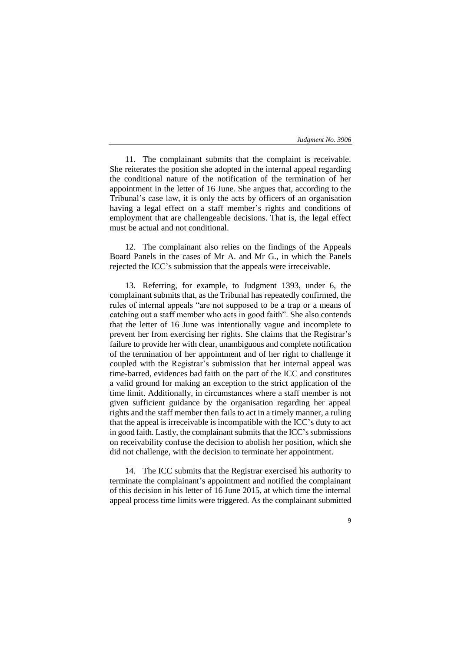9

11. The complainant submits that the complaint is receivable. She reiterates the position she adopted in the internal appeal regarding the conditional nature of the notification of the termination of her appointment in the letter of 16 June. She argues that, according to the Tribunal's case law, it is only the acts by officers of an organisation having a legal effect on a staff member's rights and conditions of employment that are challengeable decisions. That is, the legal effect must be actual and not conditional.

12. The complainant also relies on the findings of the Appeals Board Panels in the cases of Mr A. and Mr G., in which the Panels rejected the ICC's submission that the appeals were irreceivable.

13. Referring, for example, to Judgment 1393, under 6, the complainant submits that, as the Tribunal has repeatedly confirmed, the rules of internal appeals "are not supposed to be a trap or a means of catching out a staff member who acts in good faith". She also contends that the letter of 16 June was intentionally vague and incomplete to prevent her from exercising her rights. She claims that the Registrar's failure to provide her with clear, unambiguous and complete notification of the termination of her appointment and of her right to challenge it coupled with the Registrar's submission that her internal appeal was time-barred, evidences bad faith on the part of the ICC and constitutes a valid ground for making an exception to the strict application of the time limit. Additionally, in circumstances where a staff member is not given sufficient guidance by the organisation regarding her appeal rights and the staff member then fails to act in a timely manner, a ruling that the appeal is irreceivable is incompatible with the ICC's duty to act in good faith. Lastly, the complainant submits that the ICC's submissions on receivability confuse the decision to abolish her position, which she did not challenge, with the decision to terminate her appointment.

14. The ICC submits that the Registrar exercised his authority to terminate the complainant's appointment and notified the complainant of this decision in his letter of 16 June 2015, at which time the internal appeal process time limits were triggered. As the complainant submitted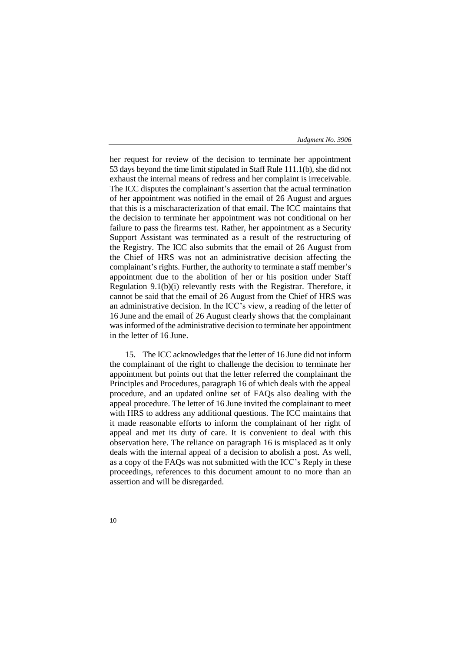her request for review of the decision to terminate her appointment 53 days beyond the time limit stipulated in Staff Rule 111.1(b), she did not exhaust the internal means of redress and her complaint is irreceivable. The ICC disputes the complainant's assertion that the actual termination of her appointment was notified in the email of 26 August and argues that this is a mischaracterization of that email. The ICC maintains that the decision to terminate her appointment was not conditional on her failure to pass the firearms test. Rather, her appointment as a Security Support Assistant was terminated as a result of the restructuring of the Registry. The ICC also submits that the email of 26 August from the Chief of HRS was not an administrative decision affecting the complainant's rights. Further, the authority to terminate a staff member's appointment due to the abolition of her or his position under Staff Regulation 9.1(b)(i) relevantly rests with the Registrar. Therefore, it cannot be said that the email of 26 August from the Chief of HRS was an administrative decision. In the ICC's view, a reading of the letter of 16 June and the email of 26 August clearly shows that the complainant was informed of the administrative decision to terminate her appointment in the letter of 16 June.

15. The ICC acknowledges that the letter of 16 June did not inform the complainant of the right to challenge the decision to terminate her appointment but points out that the letter referred the complainant the Principles and Procedures, paragraph 16 of which deals with the appeal procedure, and an updated online set of FAQs also dealing with the appeal procedure. The letter of 16 June invited the complainant to meet with HRS to address any additional questions. The ICC maintains that it made reasonable efforts to inform the complainant of her right of appeal and met its duty of care. It is convenient to deal with this observation here. The reliance on paragraph 16 is misplaced as it only deals with the internal appeal of a decision to abolish a post. As well, as a copy of the FAQs was not submitted with the ICC's Reply in these proceedings, references to this document amount to no more than an assertion and will be disregarded.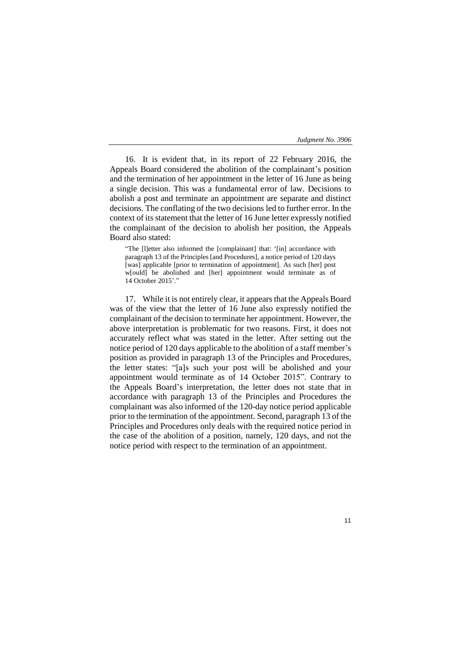16. It is evident that, in its report of 22 February 2016, the Appeals Board considered the abolition of the complainant's position and the termination of her appointment in the letter of 16 June as being a single decision. This was a fundamental error of law. Decisions to abolish a post and terminate an appointment are separate and distinct decisions. The conflating of the two decisions led to further error. In the context of its statement that the letter of 16 June letter expressly notified the complainant of the decision to abolish her position, the Appeals Board also stated:

"The [l]etter also informed the [complainant] that: '[in] accordance with paragraph 13 of the Principles [and Procedures], a notice period of 120 days [was] applicable [prior to termination of appointment]. As such [her] post w[ould] be abolished and [her] appointment would terminate as of 14 October 2015'."

17. While it is not entirely clear, it appears that the Appeals Board was of the view that the letter of 16 June also expressly notified the complainant of the decision to terminate her appointment. However, the above interpretation is problematic for two reasons. First, it does not accurately reflect what was stated in the letter. After setting out the notice period of 120 days applicable to the abolition of a staff member's position as provided in paragraph 13 of the Principles and Procedures, the letter states: "[a]s such your post will be abolished and your appointment would terminate as of 14 October 2015". Contrary to the Appeals Board's interpretation, the letter does not state that in accordance with paragraph 13 of the Principles and Procedures the complainant was also informed of the 120-day notice period applicable prior to the termination of the appointment. Second, paragraph 13 of the Principles and Procedures only deals with the required notice period in the case of the abolition of a position, namely, 120 days, and not the notice period with respect to the termination of an appointment.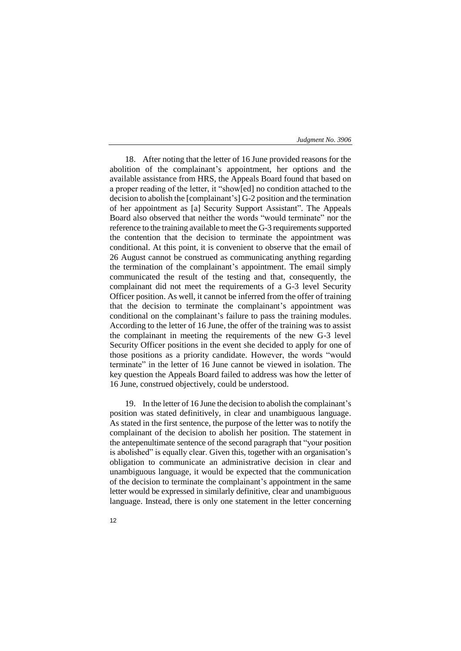18. After noting that the letter of 16 June provided reasons for the abolition of the complainant's appointment, her options and the available assistance from HRS, the Appeals Board found that based on a proper reading of the letter, it "show[ed] no condition attached to the decision to abolish the [complainant's] G-2 position and the termination of her appointment as [a] Security Support Assistant". The Appeals Board also observed that neither the words "would terminate" nor the reference to the training available to meet the G-3 requirements supported the contention that the decision to terminate the appointment was conditional. At this point, it is convenient to observe that the email of 26 August cannot be construed as communicating anything regarding the termination of the complainant's appointment. The email simply communicated the result of the testing and that, consequently, the complainant did not meet the requirements of a G-3 level Security Officer position. As well, it cannot be inferred from the offer of training that the decision to terminate the complainant's appointment was conditional on the complainant's failure to pass the training modules. According to the letter of 16 June, the offer of the training was to assist the complainant in meeting the requirements of the new G-3 level Security Officer positions in the event she decided to apply for one of those positions as a priority candidate. However, the words "would terminate" in the letter of 16 June cannot be viewed in isolation. The key question the Appeals Board failed to address was how the letter of 16 June, construed objectively, could be understood.

19. In the letter of 16 June the decision to abolish the complainant's position was stated definitively, in clear and unambiguous language. As stated in the first sentence, the purpose of the letter was to notify the complainant of the decision to abolish her position. The statement in the antepenultimate sentence of the second paragraph that "your position is abolished" is equally clear. Given this, together with an organisation's obligation to communicate an administrative decision in clear and unambiguous language, it would be expected that the communication of the decision to terminate the complainant's appointment in the same letter would be expressed in similarly definitive, clear and unambiguous language. Instead, there is only one statement in the letter concerning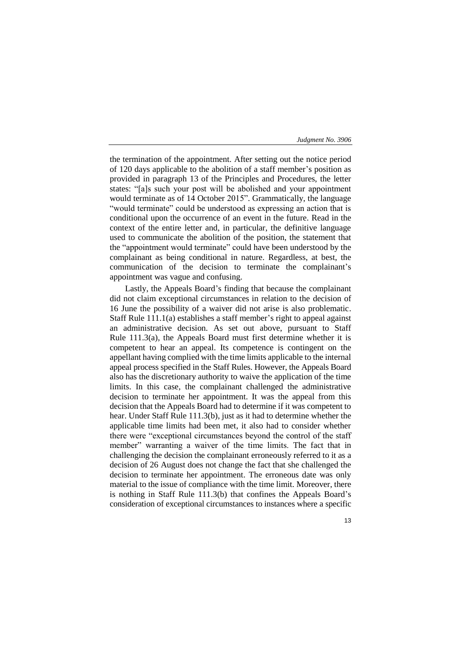the termination of the appointment. After setting out the notice period of 120 days applicable to the abolition of a staff member's position as provided in paragraph 13 of the Principles and Procedures, the letter states: "[a]s such your post will be abolished and your appointment would terminate as of 14 October 2015". Grammatically, the language "would terminate" could be understood as expressing an action that is conditional upon the occurrence of an event in the future. Read in the context of the entire letter and, in particular, the definitive language used to communicate the abolition of the position, the statement that the "appointment would terminate" could have been understood by the complainant as being conditional in nature. Regardless, at best, the communication of the decision to terminate the complainant's appointment was vague and confusing.

Lastly, the Appeals Board's finding that because the complainant did not claim exceptional circumstances in relation to the decision of 16 June the possibility of a waiver did not arise is also problematic. Staff Rule 111.1(a) establishes a staff member's right to appeal against an administrative decision. As set out above, pursuant to Staff Rule 111.3(a), the Appeals Board must first determine whether it is competent to hear an appeal. Its competence is contingent on the appellant having complied with the time limits applicable to the internal appeal process specified in the Staff Rules. However, the Appeals Board also has the discretionary authority to waive the application of the time limits. In this case, the complainant challenged the administrative decision to terminate her appointment. It was the appeal from this decision that the Appeals Board had to determine if it was competent to hear. Under Staff Rule 111.3(b), just as it had to determine whether the applicable time limits had been met, it also had to consider whether there were "exceptional circumstances beyond the control of the staff member" warranting a waiver of the time limits. The fact that in challenging the decision the complainant erroneously referred to it as a decision of 26 August does not change the fact that she challenged the decision to terminate her appointment. The erroneous date was only material to the issue of compliance with the time limit. Moreover, there is nothing in Staff Rule 111.3(b) that confines the Appeals Board's consideration of exceptional circumstances to instances where a specific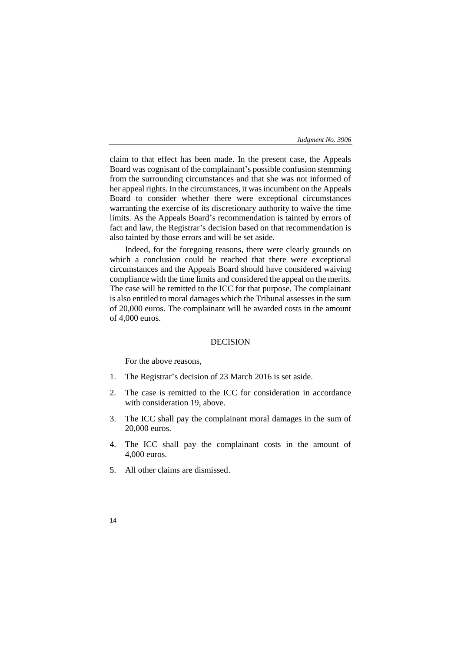claim to that effect has been made. In the present case, the Appeals Board was cognisant of the complainant's possible confusion stemming from the surrounding circumstances and that she was not informed of her appeal rights. In the circumstances, it was incumbent on the Appeals Board to consider whether there were exceptional circumstances warranting the exercise of its discretionary authority to waive the time limits. As the Appeals Board's recommendation is tainted by errors of fact and law, the Registrar's decision based on that recommendation is also tainted by those errors and will be set aside.

Indeed, for the foregoing reasons, there were clearly grounds on which a conclusion could be reached that there were exceptional circumstances and the Appeals Board should have considered waiving compliance with the time limits and considered the appeal on the merits. The case will be remitted to the ICC for that purpose. The complainant is also entitled to moral damages which the Tribunal assesses in the sum of 20,000 euros. The complainant will be awarded costs in the amount of 4,000 euros.

## DECISION

For the above reasons,

- 1. The Registrar's decision of 23 March 2016 is set aside.
- 2. The case is remitted to the ICC for consideration in accordance with consideration 19, above.
- 3. The ICC shall pay the complainant moral damages in the sum of 20,000 euros.
- 4. The ICC shall pay the complainant costs in the amount of 4,000 euros.
- 5. All other claims are dismissed.
- 14